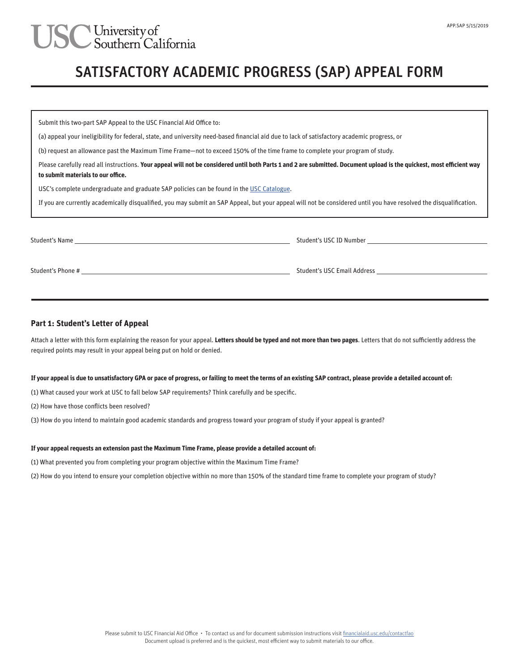# JSC University of<br>Southern California

### SATISFACTORY ACADEMIC PROGRESS (SAP) APPEAL FORM

Submit this two-part SAP Appeal to the USC Financial Aid Office to:

(a) appeal your ineligibility for federal, state, and university need-based financial aid due to lack of satisfactory academic progress, or

(b) request an allowance past the Maximum Time Frame—not to exceed 150% of the time frame to complete your program of study.

Please carefully read all instructions. Your appeal will not be considered until both Parts 1 and 2 are submitted. Document upload is the quickest, most efficient way **to submit materials to our office.**

USC's complete undergraduate and graduate SAP policies can be found in the USC Catalogue.

If you are currently academically disqualified, you may submit an SAP Appeal, but your appeal will not be considered until you have resolved the disqualification.

| Student's Name    | Student's USC ID Number            |
|-------------------|------------------------------------|
| Student's Phone # | <b>Student's USC Email Address</b> |

#### **Part 1: Student's Letter of Appeal**

Attach a letter with this form explaining the reason for your appeal. **Letters should be typed and not more than two pages**. Letters that do not sufficiently address the required points may result in your appeal being put on hold or denied.

#### **If your appeal is due to unsatisfactory GPA or pace of progress, or failing to meet the terms of an existing SAP contract, please provide a detailed account of:**

(1) What caused your work at USC to fall below SAP requirements? Think carefully and be specific.

(2) How have those conflicts been resolved?

(3) How do you intend to maintain good academic standards and progress toward your program of study if your appeal is granted?

#### **If your appeal requests an extension past the Maximum Time Frame, please provide a detailed account of:**

(1) What prevented you from completing your program objective within the Maximum Time Frame?

(2) How do you intend to ensure your completion objective within no more than 150% of the standard time frame to complete your program of study?